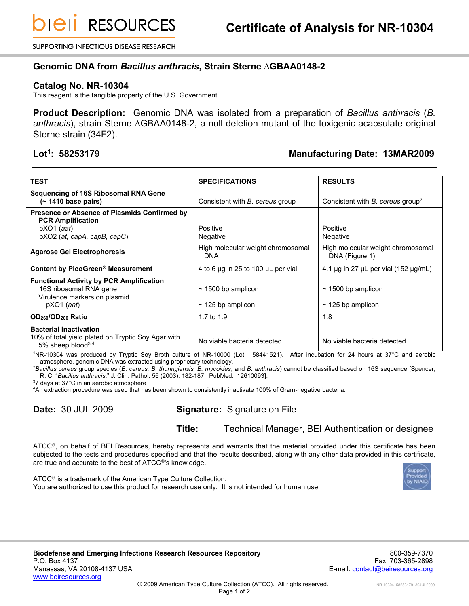SUPPORTING INFECTIOUS DISEASE RESEARCH

## **Genomic DNA from** *Bacillus anthracis***, Strain Sterne ∆GBAA0148-2**

## **Catalog No. NR-10304**

This reagent is the tangible property of the U.S. Government.

**Product Description:** Genomic DNA was isolated from a preparation of *Bacillus anthracis* (*B. anthracis*), strain Sterne ∆GBAA0148-2, a null deletion mutant of the toxigenic acapsulate original Sterne strain (34F2).

## Lot<sup>1</sup>: 58253179

## **: 58253179 Manufacturing Date: 13MAR2009**

| <b>TEST</b>                                                                                                               | <b>SPECIFICATIONS</b>                             | <b>RESULTS</b>                                      |
|---------------------------------------------------------------------------------------------------------------------------|---------------------------------------------------|-----------------------------------------------------|
| <b>Sequencing of 16S Ribosomal RNA Gene</b><br>(~ 1410 base pairs)                                                        | Consistent with <i>B. cereus</i> group            | Consistent with $B$ . cereus group <sup>2</sup>     |
| Presence or Absence of Plasmids Confirmed by<br><b>PCR Amplification</b><br>$pXO1$ (aat)<br>pXO2 (at, capA, capB, capC)   | Positive<br>Negative                              | Positive<br>Negative                                |
| <b>Agarose Gel Electrophoresis</b>                                                                                        | High molecular weight chromosomal<br><b>DNA</b>   | High molecular weight chromosomal<br>DNA (Figure 1) |
| Content by PicoGreen <sup>®</sup> Measurement                                                                             | 4 to 6 µg in 25 to 100 µL per vial                | 4.1 $\mu$ g in 27 $\mu$ L per vial (152 $\mu$ g/mL) |
| <b>Functional Activity by PCR Amplification</b><br>16S ribosomal RNA gene<br>Virulence markers on plasmid<br>$pXO1$ (aat) | $\sim$ 1500 bp amplicon<br>$\sim$ 125 bp amplicon | $\sim$ 1500 bp amplicon<br>$\sim$ 125 bp amplicon   |
| OD <sub>260</sub> /OD <sub>280</sub> Ratio                                                                                | 1.7 to 1.9                                        | 1.8                                                 |
| <b>Bacterial Inactivation</b><br>10% of total yield plated on Tryptic Soy Agar with<br>5% sheep blood <sup>3.4</sup>      | No viable bacteria detected                       | No viable bacteria detected                         |

<sup>1</sup>NR-10304 was produced by Tryptic Soy Broth culture of NR-10000 (Lot: 58441521). After incubation for 24 hours at 37°C and aerobic atmosphere, genomic DNA was extracted using proprietary technology.

<sup>2</sup>*Bacillus cereus* group species (*B. cereus, B. thuringiensis, B. mycoides*, and *B. anthracis*) cannot be classified based on 16S sequence [Spencer, R. C. "*Bacillus anthracis*." J. Clin. Pathol. 56 (2003): 182-187. PubMed: 12610093].

<sup>3</sup>7 days at 37°C in an aerobic atmosphere

<sup>4</sup>An extraction procedure was used that has been shown to consistently inactivate 100% of Gram-negative bacteria.

**Date:** 30 JUL 2009 **Signature:** Signature on File

**Title:** Technical Manager, BEI Authentication or designee

 $\tt ATCC<sup>®</sup>$ , on behalf of BEI Resources, hereby represents and warrants that the material provided under this certificate has been subjected to the tests and procedures specified and that the results described, along with any other data provided in this certificate, are true and accurate to the best of ATCC®'s knowledge.



 $ATCC<sup>®</sup>$  is a trademark of the American Type Culture Collection. You are authorized to use this product for research use only. It is not intended for human use.